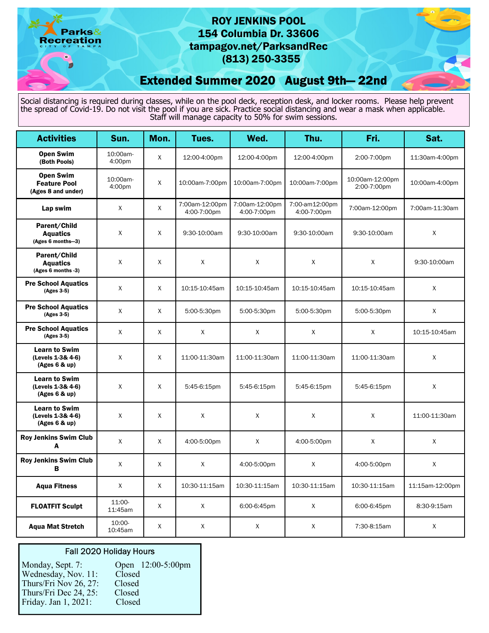Parks& **Recreation** 

# ROY JENKINS POOL 154 Columbia Dr. 33606 tampagov.net/ParksandRec (813) 250-3355

Extended Summer 2020 August 9th— 22nd

Social distancing is required during classes, while on the pool deck, reception desk, and locker rooms. Please help prevent the spread of Covid-19. Do not visit the pool if you are sick. Practice social distancing and wear a mask when applicable. Staff will manage capacity to 50% for swim sessions.

| <b>Activities</b>                                             | Sun.               | Mon.         | Tues.                         | Wed.                          | Thu.                          | Fri.                           | Sat.            |
|---------------------------------------------------------------|--------------------|--------------|-------------------------------|-------------------------------|-------------------------------|--------------------------------|-----------------|
| <b>Open Swim</b><br>(Both Pools)                              | 10:00am-<br>4:00pm | X            | 12:00-4:00pm                  | 12:00-4:00pm                  | 12:00-4:00pm                  | 2:00-7:00pm                    | 11:30am-4:00pm  |
| <b>Open Swim</b><br><b>Feature Pool</b><br>(Ages 8 and under) | 10:00am-<br>4:00pm | X            | 10:00am-7:00pm                | 10:00am-7:00pm                | 10:00am-7:00pm                | 10:00am-12:00pm<br>2:00-7:00pm | 10:00am-4:00pm  |
| Lap swim                                                      | X                  | X            | 7:00am-12:00pm<br>4:00-7:00pm | 7:00am-12:00pm<br>4:00-7:00pm | 7:00-am12:00pm<br>4:00-7:00pm | 7:00am-12:00pm                 | 7:00am-11:30am  |
| Parent/Child<br><b>Aquatics</b><br>(Ages 6 months-3)          | X                  | X            | 9:30-10:00am                  | 9:30-10:00am                  | 9:30-10:00am                  | 9:30-10:00am                   | X               |
| Parent/Child<br><b>Aquatics</b><br>(Ages 6 months -3)         | X                  | X            | X                             | X                             | X                             | X                              | 9:30-10:00am    |
| <b>Pre School Aquatics</b><br>(Ages 3-5)                      | X                  | X            | 10:15-10:45am                 | 10:15-10:45am                 | 10:15-10:45am                 | 10:15-10:45am                  | Χ               |
| <b>Pre School Aquatics</b><br>(Ages 3-5)                      | X                  | $\mathsf{X}$ | 5:00-5:30pm                   | 5:00-5:30pm                   | 5:00-5:30pm                   | 5:00-5:30pm                    | X               |
| <b>Pre School Aquatics</b><br>(Ages 3-5)                      | X                  | $\mathsf{X}$ | X                             | X                             | $\mathsf{X}$                  | X                              | 10:15-10:45am   |
| <b>Learn to Swim</b><br>(Levels 1-3& 4-6)<br>(Ages 6 & up)    | X                  | X            | 11:00-11:30am                 | 11:00-11:30am                 | 11:00-11:30am                 | 11:00-11:30am                  | X               |
| <b>Learn to Swim</b><br>(Levels 1-3& 4-6)<br>(Ages 6 8 up)    | X                  | X            | 5:45-6:15pm                   | 5:45-6:15pm                   | 5:45-6:15pm                   | 5:45-6:15pm                    | X               |
| <b>Learn to Swim</b><br>(Levels 1-3& 4-6)<br>(Ages 6 8 up)    | X                  | X            | X                             | X                             | X                             | X                              | 11:00-11:30am   |
| <b>Roy Jenkins Swim Club</b><br>A                             | X                  | X            | 4:00-5:00pm                   | X                             | 4:00-5:00pm                   | X                              | X               |
| <b>Roy Jenkins Swim Club</b><br>B                             | X                  | X            | X                             | 4:00-5:00pm                   | X                             | 4:00-5:00pm                    | X               |
| <b>Aqua Fitness</b>                                           | X                  | X            | 10:30-11:15am                 | 10:30-11:15am                 | 10:30-11:15am                 | 10:30-11:15am                  | 11:15am-12:00pm |
| <b>FLOATFIT Sculpt</b>                                        | 11:00-<br>11:45am  | X            | X                             | 6:00-6:45pm                   | X                             | 6:00-6:45pm                    | 8:30-9:15am     |
| <b>Agua Mat Stretch</b>                                       | 10:00-<br>10:45am  | X            | $\mathsf{X}$                  | X                             | $\mathsf{X}$                  | 7:30-8:15am                    | X               |

## Fall 2020 Holiday Hours

| Monday, Sept. 7:      | Open 12:00-5:00pm |
|-----------------------|-------------------|
| Wednesday, Nov. 11:   | Closed            |
| Thurs/Fri Nov 26, 27: | Closed            |
| Thurs/Fri Dec 24, 25: | Closed            |
| Friday. Jan 1, 2021:  | Closed            |